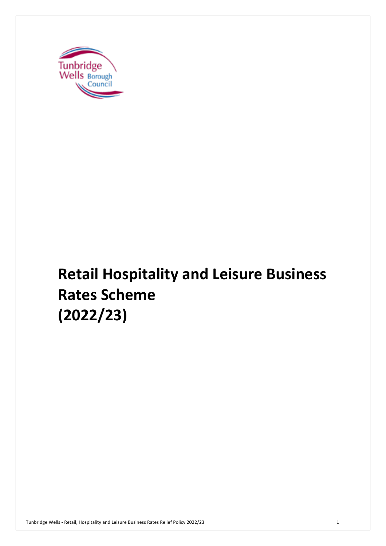

# **Retail Hospitality and Leisure Business Rates Scheme (2022/23)**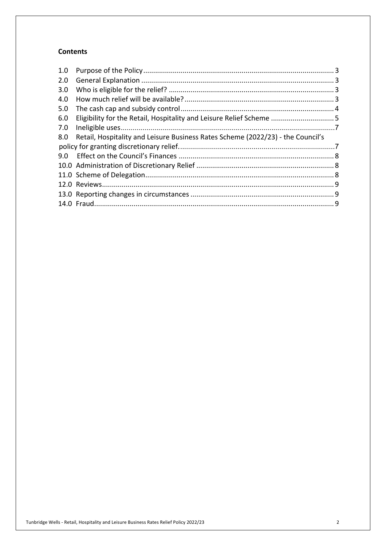## **Contents**

| 2.0<br>3.0<br>4.0<br>5.0<br>Eligibility for the Retail, Hospitality and Leisure Relief Scheme  5<br>6.0<br>7.0<br>Retail, Hospitality and Leisure Business Rates Scheme (2022/23) - the Council's<br>8.0<br>9.0 | 1.0 |  |  |
|-----------------------------------------------------------------------------------------------------------------------------------------------------------------------------------------------------------------|-----|--|--|
|                                                                                                                                                                                                                 |     |  |  |
|                                                                                                                                                                                                                 |     |  |  |
|                                                                                                                                                                                                                 |     |  |  |
|                                                                                                                                                                                                                 |     |  |  |
|                                                                                                                                                                                                                 |     |  |  |
|                                                                                                                                                                                                                 |     |  |  |
|                                                                                                                                                                                                                 |     |  |  |
|                                                                                                                                                                                                                 |     |  |  |
|                                                                                                                                                                                                                 |     |  |  |
|                                                                                                                                                                                                                 |     |  |  |
|                                                                                                                                                                                                                 |     |  |  |
|                                                                                                                                                                                                                 |     |  |  |
|                                                                                                                                                                                                                 |     |  |  |
|                                                                                                                                                                                                                 |     |  |  |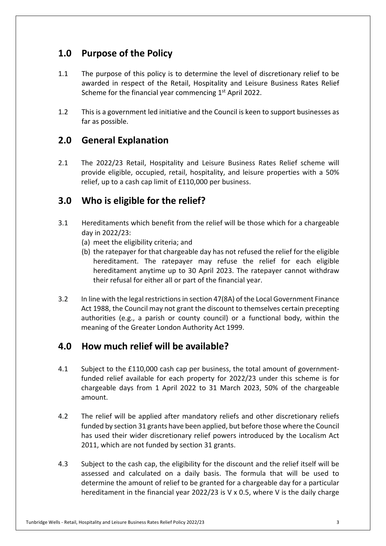# **1.0 Purpose of the Policy**

- 1.1 The purpose of this policy is to determine the level of discretionary relief to be awarded in respect of the Retail, Hospitality and Leisure Business Rates Relief Scheme for the financial year commencing  $1<sup>st</sup>$  April 2022.
- 1.2 This is a government led initiative and the Council is keen to support businesses as far as possible.

# **2.0 General Explanation**

 $2.1$  provide eligible, occupied, retail, hospitality, and leisure properties with a 50% relief, up to a cash cap limit of £110,000 per business. 2.1 The 2022/23 Retail, Hospitality and Leisure Business Rates Relief scheme will

# **3.0 Who is eligible for the relief?**

- 3.1 Hereditaments which benefit from the relief will be those which for a chargeable day in 2022/23:
	- (a) meet the eligibility criteria; and
	- (b) the ratepayer for that chargeable day has not refused the relief for the eligible hereditament. The ratepayer may refuse the relief for each eligible hereditament anytime up to 30 April 2023. The ratepayer cannot withdraw their refusal for either all or part of the financial year.
- $3.2$  Act 1988, the Council may not grant the discount to themselves certain precepting authorities (e.g., a parish or county council) or a functional body, within the meaning of the Greater London Authority Act 1999. In line with the legal restrictions in section 47(8A) of the Local Government Finance

# **4.0 How much relief will be available?**

- 4.1 Subject to the £110,000 cash cap per business, the total amount of government- funded relief available for each property for 2022/23 under this scheme is for chargeable days from 1 April 2022 to 31 March 2023, 50% of the chargeable amount.
- $4.2$  funded by section 31 grants have been applied, but before those where the Council has used their wider discretionary relief powers introduced by the Localism Act 2011, which are not funded by section 31 grants. The relief will be applied after mandatory reliefs and other discretionary reliefs
- 4.3 Subject to the cash cap, the eligibility for the discount and the relief itself will be assessed and calculated on a daily basis. The formula that will be used to determine the amount of relief to be granted for a chargeable day for a particular hereditament in the financial year 2022/23 is V x 0.5, where V is the daily charge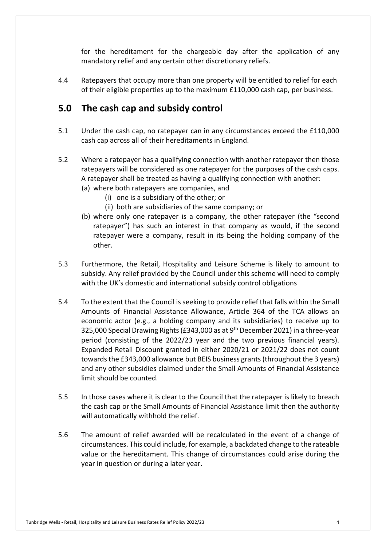for the hereditament for the chargeable day after the application of any mandatory relief and any certain other discretionary reliefs.

 4.4 Ratepayers that occupy more than one property will be entitled to relief for each of their eligible properties up to the maximum £110,000 cash cap, per business.

# **5.0 The cash cap and subsidy control**

- $5.1$  cash cap across all of their hereditaments in England. Under the cash cap, no ratepayer can in any circumstances exceed the £110,000
- $5.2$  ratepayers will be considered as one ratepayer for the purposes of the cash caps. A ratepayer shall be treated as having a qualifying connection with another: Where a ratepayer has a qualifying connection with another ratepayer then those
	- (a) where both ratepayers are companies, and
		- (i) one is a subsidiary of the other; or
		- (ii) both are subsidiaries of the same company; or
	- (b) where only one ratepayer is a company, the other ratepayer (the "second ratepayer") has such an interest in that company as would, if the second ratepayer were a company, result in its being the holding company of the other.
- $5.3$  subsidy. Any relief provided by the Council under this scheme will need to comply with the UK's domestic and international subsidy control obligations Furthermore, the Retail, Hospitality and Leisure Scheme is likely to amount to
- $5.4$  Amounts of Financial Assistance Allowance, Article 364 of the TCA allows an economic actor (e.g., a holding company and its subsidiaries) to receive up to 325,000 Special Drawing Rights (£343,000 as at 9<sup>th</sup> December 2021) in a three-year period (consisting of the 2022/23 year and the two previous financial years). Expanded Retail Discount granted in either 2020/21 or 2021/22 does not count towards the £343,000 allowance but BEIS business grants (throughout the 3 years) and any other subsidies claimed under the Small Amounts of Financial Assistance limit should be counted. 5.4 To the extent that the Council is seeking to provide relief that falls within the Small
- $5.5$  the cash cap or the Small Amounts of Financial Assistance limit then the authority will automatically withhold the relief. In those cases where it is clear to the Council that the ratepayer is likely to breach
- 5.6 The amount of relief awarded will be recalculated in the event of a change of circumstances. This could include, for example, a backdated change to the rateable value or the hereditament. This change of circumstances could arise during the year in question or during a later year.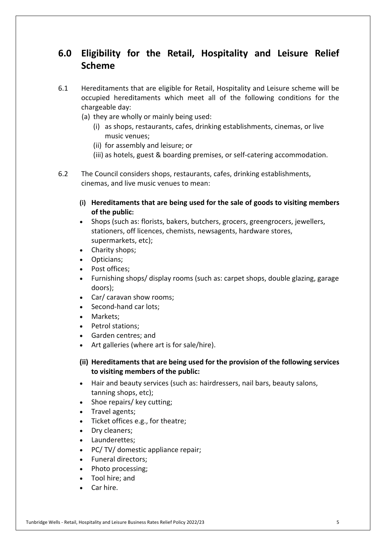# **6.0 Eligibility for the Retail, Hospitality and Leisure Relief Scheme**

- 6.1 Hereditaments that are eligible for Retail, Hospitality and Leisure scheme will be occupied hereditaments which meet all of the following conditions for the chargeable day:
	- (a) they are wholly or mainly being used:
		- (i) as shops, restaurants, cafes, drinking establishments, cinemas, or live music venues;
		- (ii) for assembly and leisure; or
		- (iii) as hotels, guest & boarding premises, or self-catering accommodation.
- $6.2$  cinemas, and live music venues to mean: The Council considers shops, restaurants, cafes, drinking establishments,
	- **(i) Hereditaments that are being used for the sale of goods to visiting members of the public:**
	- • Shops (such as: florists, bakers, butchers, grocers, greengrocers, jewellers, stationers, off licences, chemists, newsagents, hardware stores, supermarkets, etc);
	- Charity shops;
	- Opticians;
	- Post offices;
	- • Furnishing shops/ display rooms (such as: carpet shops, double glazing, garage doors);
	- Car/ caravan show rooms;
	- Second-hand car lots;
	- Markets:
	- Petrol stations;
	- Garden centres; and
	- Art galleries (where art is for sale/hire).
	- **(ii) Hereditaments that are being used for the provision of the following services to visiting members of the public:**
	- • Hair and beauty services (such as: hairdressers, nail bars, beauty salons, tanning shops, etc);
	- Shoe repairs/ key cutting;
	- Travel agents;
	- Ticket offices e.g., for theatre;
	- Dry cleaners;
	- Launderettes;
	- PC/ TV/ domestic appliance repair;
	- Funeral directors;
	- Photo processing;
	- Tool hire; and
	- Car hire.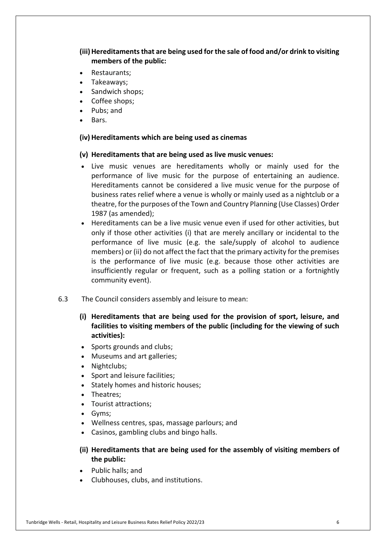## (iii) Hereditaments that are being used for the sale of food and/or drink to visiting **members of the public:**

- Restaurants;
- Takeaways;
- Sandwich shops;
- Coffee shops;
- Pubs; and
- Bars.

## **(iv) Hereditaments which are being used as cinemas**

## **(v) Hereditaments that are being used as live music venues:**

- • Live music venues are hereditaments wholly or mainly used for the performance of live music for the purpose of entertaining an audience. Hereditaments cannot be considered a live music venue for the purpose of business rates relief where a venue is wholly or mainly used as a nightclub or a theatre, for the purposes of the Town and Country Planning (Use Classes) Order 1987 (as amended);
- • Hereditaments can be a live music venue even if used for other activities, but only if those other activities (i) that are merely ancillary or incidental to the performance of live music (e.g. the sale/supply of alcohol to audience members) or (ii) do not affect the fact that the primary activity for the premises is the performance of live music (e.g. because those other activities are insufficiently regular or frequent, such as a polling station or a fortnightly community event).
- $6.3$ The Council considers assembly and leisure to mean:
	- **(i) Hereditaments that are being used for the provision of sport, leisure, and facilities to visiting members of the public (including for the viewing of such activities):**
	- Sports grounds and clubs;
	- Museums and art galleries;
	- Nightclubs;
	- Sport and leisure facilities;
	- Stately homes and historic houses;
	- Theatres;
	- Tourist attractions;
	- Gyms;
	- Wellness centres, spas, massage parlours; and
	- Casinos, gambling clubs and bingo halls.
	- **(ii) Hereditaments that are being used for the assembly of visiting members of the public:**
	- Public halls; and
	- Clubhouses, clubs, and institutions.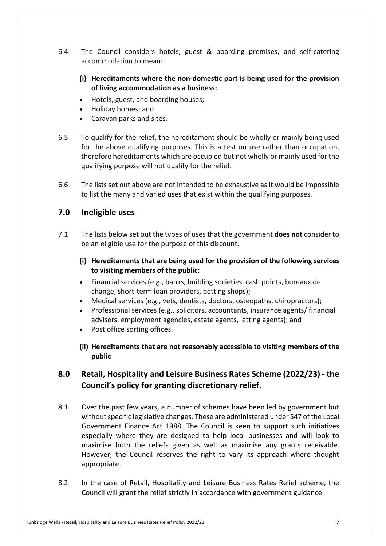- $6.4$  accommodation to mean: The Council considers hotels, guest & boarding premises, and self-catering
	- **(i) Hereditaments where the non-domestic part is being used for the provision of living accommodation as a business:**
	- Hotels, guest, and boarding houses;
	- Holiday homes; and
	- Caravan parks and sites.
- 6.5 for the above qualifying purposes. This is a test on use rather than occupation, therefore hereditaments which are occupied but not wholly or mainly used for the qualifying purpose will not qualify for the relief. To qualify for the relief, the hereditament should be wholly or mainly being used
- 6.6 The lists set out above are not intended to be exhaustive as it would be impossible to list the many and varied uses that exist within the qualifying purposes.

## **7.0 Ineligible uses**

- 7.1 The lists below set out the types of uses that the government **does not** consider to be an eligible use for the purpose of this discount.
	- **(i) Hereditaments that are being used for the provision of the following services to visiting members of the public:**
	- • Financial services (e.g., banks, building societies, cash points, bureaux de change, short-term loan providers, betting shops);
	- Medical services (e.g., vets, dentists, doctors, osteopaths, chiropractors);
	- • Professional services (e.g., solicitors, accountants, insurance agents/ financial advisers, employment agencies, estate agents, letting agents); and
	- Post office sorting offices.
	- **(ii) Hereditaments that are not reasonably accessible to visiting members of the public**

#### **8.0 Retail, Hospitality and Leisure Business Rates Scheme (2022/23) - the Council's policy for granting discretionary relief.**

- 8.1 without specific legislative changes. These are administered under S47 of the Local Government Finance Act 1988. The Council is keen to support such initiatives especially where they are designed to help local businesses and will look to maximise both the reliefs given as well as maximise any grants receivable. However, the Council reserves the right to vary its approach where thought Over the past few years, a number of schemes have been led by government but appropriate.
- 8.2 Council will grant the relief strictly in accordance with government guidance. In the case of Retail, Hospitality and Leisure Business Rates Relief scheme, the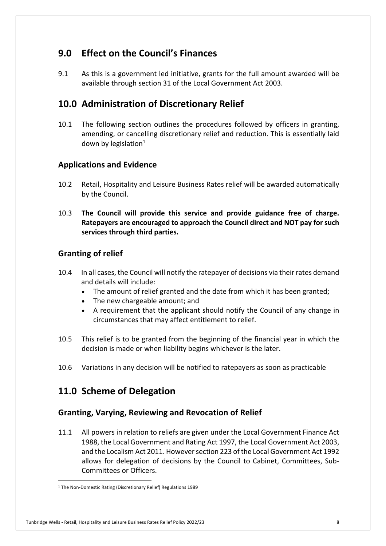# **9.0 Effect on the Council's Finances**

 $9.1$  available through section 31 of the Local Government Act 2003. As this is a government led initiative, grants for the full amount awarded will be

# **10.0 Administration of Discretionary Relief**

 $10.1$  amending, or cancelling discretionary relief and reduction. This is essentially laid down by legislation $1$ The following section outlines the procedures followed by officers in granting,

## **Applications and Evidence**

- $10.2$  by the Council. Retail, Hospitality and Leisure Business Rates relief will be awarded automatically
- 10.3 **The Council will provide this service and provide guidance free of charge. Ratepayers are encouraged to approach the Council direct and NOT pay for such services through third parties. Granting of relief**

## **Granting of relief**

- $10.4$  and details will include: In all cases, the Council will notify the ratepayer of decisions via their rates demand
	- The amount of relief granted and the date from which it has been granted;
	- The new chargeable amount; and
	- • A requirement that the applicant should notify the Council of any change in circumstances that may affect entitlement to relief.
- 10.5 This relief is to be granted from the beginning of the financial year in which the decision is made or when liability begins whichever is the later.
- 10.6 Variations in any decision will be notified to ratepayers as soon as practicable

# **11.0 Scheme of Delegation**

## **Granting, Varying, Reviewing and Revocation of Relief**

 $11.1$  1988, the Local Government and Rating Act 1997, the Local Government Act 2003, and the Localism Act 2011. However section 223 of the Local Government Act 1992 allows for delegation of decisions by the Council to Cabinet, Committees, Sub- Committees or Officers. All powers in relation to reliefs are given under the Local Government Finance Act

<sup>&</sup>lt;sup>1</sup> The Non-Domestic Rating (Discretionary Relief) Regulations 1989